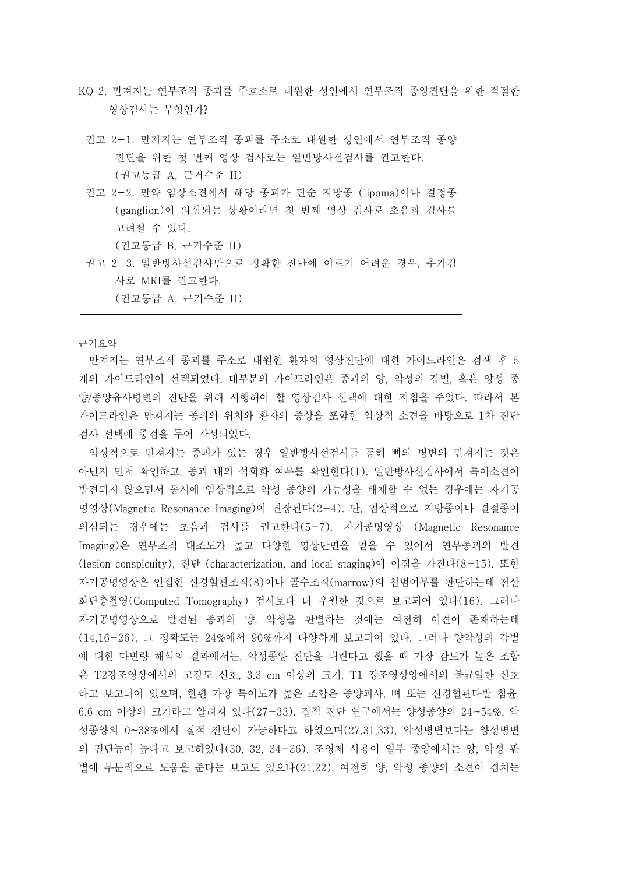KQ 2. 만져지는 연부조직 종괴를 주호소로 내원한 성인에서 연부조직 종양진단을 위한 적절한 영상검사는 무엇인가?

| 권고 2-1. 만져지는 연부조직 종괴를 주소로 내원한 성인에서 연부조직 종양     |
|------------------------------------------------|
| 진단을 위한 첫 번째 영상 검사로는 일반방사선검사를 권고한다.             |
| (권고등급 A, 근거수준 II)                              |
| 권고 2-2. 만약 임상소견에서 해당 종괴가 단순 지방종 (lipoma)이나 결정종 |
| (ganglion)이 의심되는 상황이라면 첫 번째 영상 검사로 초음파 검사를     |
| 고려할 수 있다.                                      |
| (권고등급 B, 근거수준 II)                              |
| 권고 2-3. 일반방사선검사만으로 정확한 진단에 이르기 어려운 경우, 추가검     |
| 사로 MRI를 권고한다.                                  |
| (권고등급 A. 근거수준 II)                              |

근거요약

만져지는 연부조직 종괴를 주소로 내원한 환자의 영상진단에 대한 가이드라인은 검색 후 5 개의 가이드라인이 선택되었다. 대부분의 가이드라인은 종괴의 양, 악성의 감별, 혹은 양성 종 양/종양유사병변의 진단을 위해 시행해야 할 영상검사 선택에 대한 지침을 주었다. 따라서 본 가이드라인은 만져지는 종괴의 위치와 환자의 증상을 포함한 임상적 소견을 바탕으로 1차 진단 검사 선택에 중점을 두어 작성되었다.

임상적으로 만져지는 종괴가 있는 경우 일반방사선검사를 통해 뼈의 병변의 만져지는 것은 아닌지 먼저 확인하고, 종괴 내의 석회화 여부를 확인한다(1). 일반방사선검사에서 특이소견이 발견되지 않으면서 동시에 임상적으로 악성 종양의 가능성을 배제할 수 없는 경우에는 자기공 명영상(Magnetic Resonance Imaging)이 권장된다(2-4). 단, 임상적으로 지방종이나 결절종이 의심되는 경우에는 초음파 검사를 권고한다(5-7). 자기공명영상 (Magnetic Resonance Imaging)은 연부조직 대조도가 높고 다양한 영상단면을 얻을 수 있어서 연부종괴의 발견 (lesion conspicuity), 진단 (characterization, and local staging)에 이점을 가진다(8-15). 또한 자기공명영상은 인접한 신경혈관조직(8)이나 골수조직(marrow)의 침범여부를 판단하는데 전산 화단층촬영(Computed Tomography) 검사보다 더 우월한 것으로 보고되어 있다(16). 그러나 자기공명영상으로 발견된 종괴의 양, 악성을 판별하는 것에는 여전히 이견이 존재하는데 (14,16-26), 그 정확도는 24%에서 90%까지 다양하게 보고되어 있다. 그러나 양악성의 감별 에 대한 다변량 해석의 결과에서는, 악성종양 진단을 내린다고 했을 때 가장 감도가 높은 조합 은 T2강조영상에서의 고강도 신호, 3.3 cm 이상의 크기, T1 강조영상앙에서의 불균일한 신호 라고 보고되어 있으며, 한편 가장 특이도가 높은 조합은 종양괴사, 뼈 또는 신경혈관다발 침윤,<br>6.6 cm 이상의 크기라고 알려져 있다(27-33). 질적 진단 연구에서는 양성종양의 24~54%, 악 성종양의 0~38%에서 질적 진단이 가능하다고 하였으며(27,31,33), 악성병변보다는 양성병변 의 진단능이 높다고 보고하였다(30, 32, 34-36). 조영제 사용이 일부 종양에서는 양, 악성 판 별에 부분적으로 도움을 준다는 보고도 있으나(21,22), 여전히 양, 악성 종양의 소견이 겹치는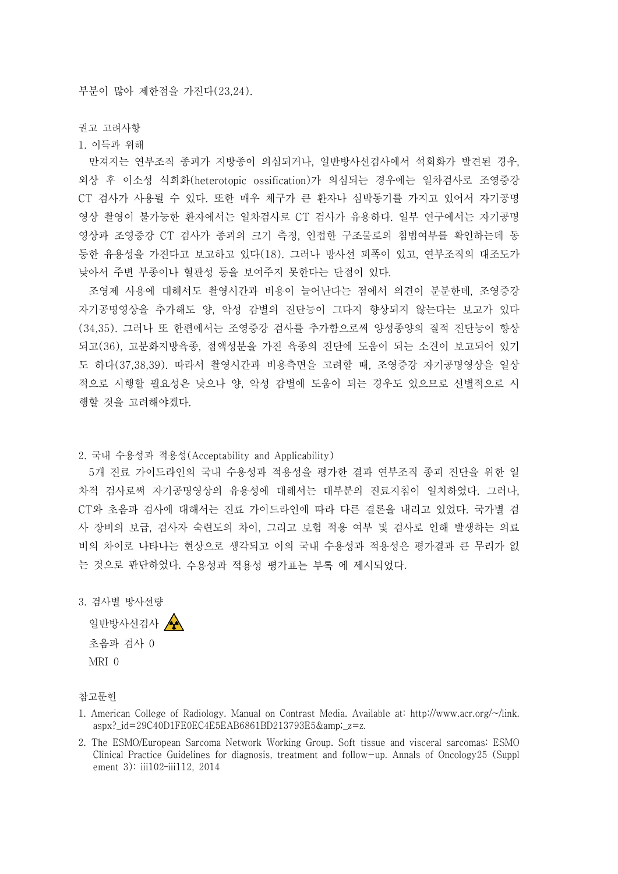부분이 많아 제한점을 가진다(23,24).

권고 고려사항

1. 이득과 위해

만져지는 연부조직 종괴가 지방종이 의심되거나, 일반방사선검사에서 석회화가 발견된 경우,<br>외상 후 이소성 석회화(heterotopic ossification)가 의심되는 경우에는 일차검사로 조영증강 CT 검사가 사용될 수 있다. 또한 매우 체구가 큰 환자나 심박동기를 가지고 있어서 자기공명 영상 촬영이 불가능한 환자에서는 일차검사로 CT 검사가 유용하다. 일부 연구에서는 자기공명 영상과 조영증강 CT 검사가 종괴의 크기 측정, 인접한 구조물로의 침범여부를 확인하는데 동 등한 유용성을 가진다고 보고하고 있다(18). 그러나 방사선 피폭이 있고, 연부조직의 대조도가 낮아서 주변 부종이나 혈관성 등을 보여주지 못한다는 단점이 있다.

조영제 사용에 대해서도 촬영시간과 비용이 늘어난다는 점에서 의견이 분분한데, 조영증강 자기공명영상을 추가해도 양, 악성 감별의 진단능이 그다지 향상되지 않는다는 보고가 있다 (34,35). 그러나 또 한편에서는 조영증강 검사를 추가함으로써 양성종양의 질적 진단능이 향상 되고(36), 고분화지방육종, 점액성분을 가진 육종의 진단에 도움이 되는 소견이 보고되어 있기 도 하다(37,38,39). 따라서 촬영시간과 비용측면을 고려할 때, 조영증강 자기공명영상을 일상 적으로 시행할 필요성은 낮으나 양, 악성 감별에 도움이 되는 경우도 있으므로 선별적으로 시 행할 것을 고려해야겠다.

2. 국내 수용성과 적용성(Acceptability and Applicability)

5개 진료 가이드라인의 국내 수용성과 적용성을 평가한 결과 연부조직 종괴 진단을 위한 일 차적 검사로써 자기공명영상의 유용성에 대해서는 대부분의 진료지침이 일치하였다. 그러나,<br>CT와 초음파 검사에 대해서는 진료 가이드라인에 따라 다른 결론을 내리고 있었다. 국가별 검 사 장비의 보급, 검사자 숙련도의 차이, 그리고 보험 적용 여부 및 검사로 인해 발생하는 의료 비의 차이로 나타나는 현상으로 생각되고 이의 국내 수용성과 적용성은 평가결과 큰 무리가 없 는 것으로 판단하였다. 수용성과 적용성 평가표는 부록 에 제시되었다.

3. 검사별 방사선량

일반방사선검사 < 초음파 검사 0 MRI 0

참고문헌

- 1. American College of Radiology. Manual on Contrast Media. Available at: http://www.acr.org/~/link. aspx?\_id=29C40D1FE0EC4E5EAB6861BD213793E5&\_z=z.
- 2. The ESMO/European Sarcoma Network Working Group. Soft tissue and visceral sarcomas: ESMO Clinical Practice Guidelines for diagnosis, treatment and follow-up. Annals of Oncology25 (Suppl ement 3): iii102–iii112, 2014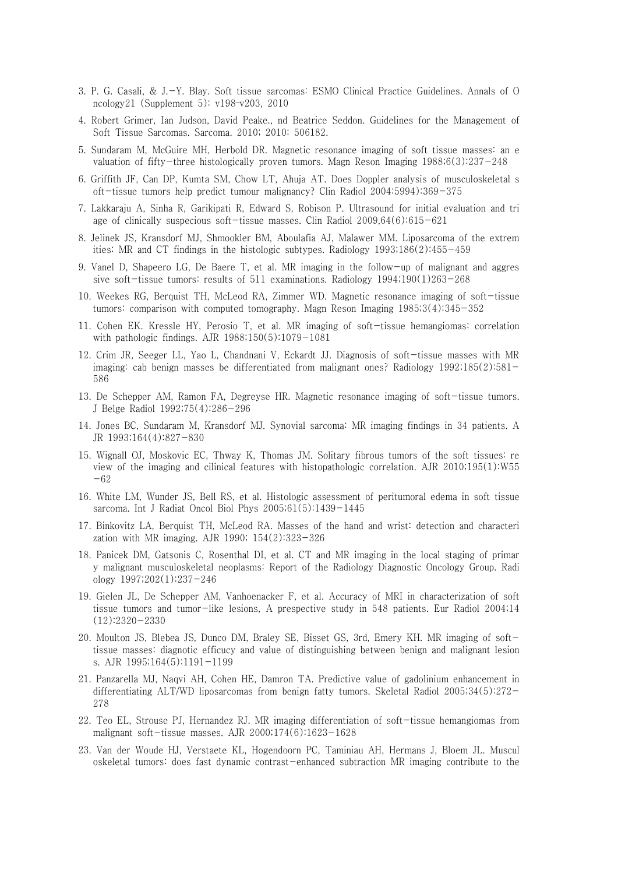- 3. P. G. Casali, & J.-Y. Blay. Soft tissue sarcomas: ESMO Clinical Practice Guidelines. Annals of O ncology21 (Supplement 5): v198–v203, 2010
- 4. Robert Grimer, Ian Judson, David Peake., nd Beatrice Seddon. Guidelines for the Management of Soft Tissue Sarcomas. Sarcoma. 2010; 2010: 506182.
- 5. Sundaram M, McGuire MH, Herbold DR. Magnetic resonance imaging of soft tissue masses: an e valuation of fifty-three histologically proven tumors. Magn Reson Imaging 1988;6(3):237-248
- 6. Griffith JF, Can DP, Kumta SM, Chow LT, Ahuja AT. Does Doppler analysis of musculoskeletal s oft-tissue tumors help predict tumour malignancy? Clin Radiol 2004:5994):369-375
- 7. Lakkaraju A, Sinha R, Garikipati R, Edward S, Robison P. Ultrasound for initial evaluation and tri age of clinically suspecious soft-tissue masses. Clin Radiol 2009,64(6):615-621
- 8. Jelinek JS, Kransdorf MJ, Shmookler BM, Aboulafia AJ, Malawer MM. Liposarcoma of the extrem ities: MR and CT findings in the histologic subtypes. Radiology 1993;186(2):455-459
- 9. Vanel D, Shapeero LG, De Baere T, et al. MR imaging in the follow-up of malignant and aggres sive soft-tissue tumors: results of 511 examinations. Radiology 1994;190(1)263-268
- 10. Weekes RG, Berquist TH, McLeod RA, Zimmer WD. Magnetic resonance imaging of soft-tissue tumors: comparison with computed tomography. Magn Reson Imaging 1985;3(4):345-352
- 11. Cohen EK. Kressle HY, Perosio T, et al. MR imaging of soft-tissue hemangiomas: correlation with pathologic findings. AJR 1988;150(5):1079-1081
- 12. Crim JR, Seeger LL, Yao L, Chandnani V, Eckardt JJ. Diagnosis of soft-tissue masses with MR imaging: cab benign masses be differentiated from malignant ones? Radiology 1992;185(2):581- 586
- 13. De Schepper AM, Ramon FA, Degreyse HR. Magnetic resonance imaging of soft-tissue tumors. J Belge Radiol 1992;75(4):286-296
- 14. Jones BC, Sundaram M, Kransdorf MJ. Synovial sarcoma: MR imaging findings in 34 patients. A JR 1993;164(4):827-830
- 15. Wignall OJ, Moskovic EC, Thway K, Thomas JM. Solitary fibrous tumors of the soft tissues: re view of the imaging and cilinical features with histopathologic correlation. AJR 2010;195(1):W55 -62
- 16. White LM, Wunder JS, Bell RS, et al. Histologic assessment of peritumoral edema in soft tissue sarcoma. Int J Radiat Oncol Biol Phys 2005;61(5):1439-1445
- 17. Binkovitz LA, Berquist TH, McLeod RA. Masses of the hand and wrist: detection and characteri zation with MR imaging. AJR 1990; 154(2):323-326
- 18. Panicek DM, Gatsonis C, Rosenthal DI, et al. CT and MR imaging in the local staging of primar y malignant musculoskeletal neoplasms: Report of the Radiology Diagnostic Oncology Group. Radi ology 1997;202(1):237-246
- 19. Gielen JL, De Schepper AM, Vanhoenacker F, et al. Accuracy of MRI in characterization of soft tissue tumors and tumor-like lesions, A prespective study in 548 patients. Eur Radiol 2004;14 (12):2320-2330
- 20. Moulton JS, Blebea JS, Dunco DM, Braley SE, Bisset GS, 3rd, Emery KH. MR imaging of softtissue masses: diagnotic efficucy and value of distinguishing between benign and malignant lesion s. AJR 1995;164(5):1191-1199
- 21. Panzarella MJ, Naqvi AH, Cohen HE, Damron TA. Predictive value of gadolinium enhancement in differentiating ALT/WD liposarcomas from benign fatty tumors. Skeletal Radiol 2005;34(5):272- 278
- 22. Teo EL, Strouse PJ, Hernandez RJ. MR imaging differentiation of soft-tissue hemangiomas from malignant soft-tissue masses. AJR 2000;174(6):1623-1628
- 23. Van der Woude HJ, Verstaete KL, Hogendoorn PC, Taminiau AH, Hermans J, Bloem JL. Muscul oskeletal tumors: does fast dynamic contrast-enhanced subtraction MR imaging contribute to the